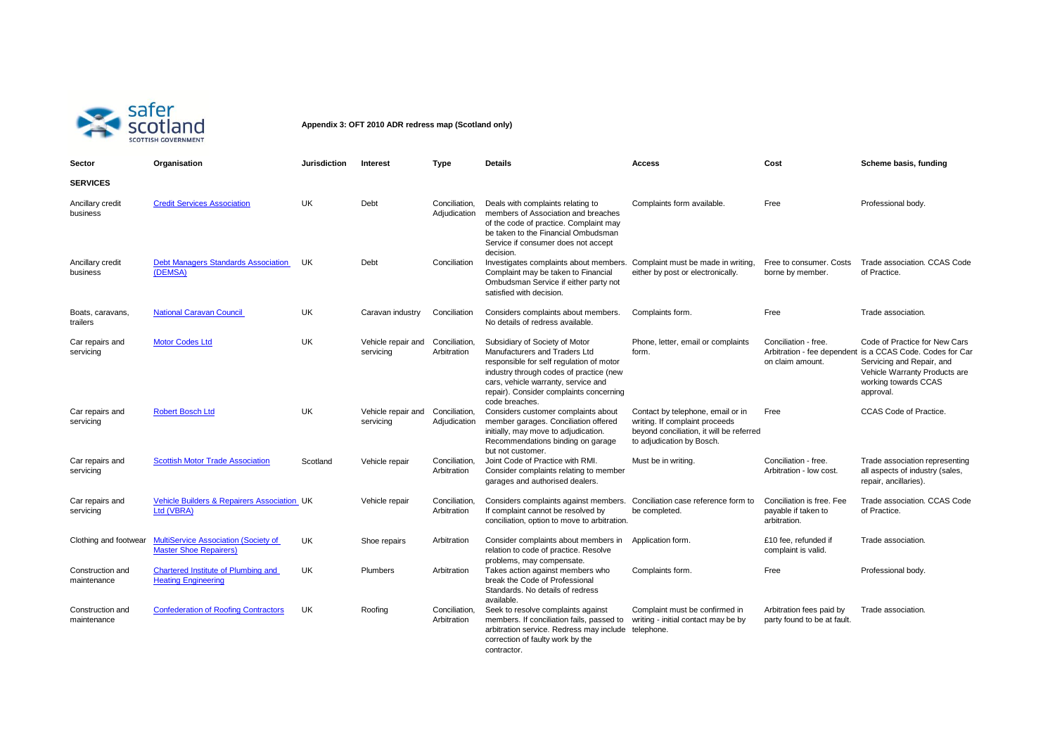

**Appendix 3: OFT 2010 ADR redress map (Scotland only)**

| Sector                          | Organisation                                                                 | <b>Jurisdiction</b> | Interest                                      | Type                          | Details                                                                                                                                                                                                                                                    | Access                                                                                                                                       | Cost                                                             | Scheme basis, funding                                                                                                                                                                         |
|---------------------------------|------------------------------------------------------------------------------|---------------------|-----------------------------------------------|-------------------------------|------------------------------------------------------------------------------------------------------------------------------------------------------------------------------------------------------------------------------------------------------------|----------------------------------------------------------------------------------------------------------------------------------------------|------------------------------------------------------------------|-----------------------------------------------------------------------------------------------------------------------------------------------------------------------------------------------|
| <b>SERVICES</b>                 |                                                                              |                     |                                               |                               |                                                                                                                                                                                                                                                            |                                                                                                                                              |                                                                  |                                                                                                                                                                                               |
| Ancillary credit<br>business    | <b>Credit Services Association</b>                                           | UK                  | Debt                                          | Conciliation.<br>Adjudication | Deals with complaints relating to<br>members of Association and breaches<br>of the code of practice. Complaint may<br>be taken to the Financial Ombudsman<br>Service if consumer does not accept<br>decision.                                              | Complaints form available.                                                                                                                   | Free                                                             | Professional body.                                                                                                                                                                            |
| Ancillary credit<br>business    | <b>Debt Managers Standards Association</b><br>(DEMSA)                        | UK                  | Debt                                          | Conciliation                  | Investigates complaints about members.<br>Complaint may be taken to Financial<br>Ombudsman Service if either party not<br>satisfied with decision.                                                                                                         | Complaint must be made in writing,<br>either by post or electronically.                                                                      | Free to consumer, Costs<br>borne by member.                      | Trade association. CCAS Code<br>of Practice.                                                                                                                                                  |
| Boats, caravans,<br>trailers    | <b>National Caravan Council</b>                                              | <b>UK</b>           | Caravan industry                              | Conciliation                  | Considers complaints about members.<br>No details of redress available.                                                                                                                                                                                    | Complaints form.                                                                                                                             | Free                                                             | Trade association.                                                                                                                                                                            |
| Car repairs and<br>servicing    | <b>Motor Codes Ltd</b>                                                       | UK                  | Vehicle repair and<br>servicing               | Conciliation.<br>Arbitration  | Subsidiary of Society of Motor<br>Manufacturers and Traders Ltd<br>responsible for self regulation of motor<br>industry through codes of practice (new<br>cars, vehicle warranty, service and<br>repair). Consider complaints concerning<br>code breaches. | Phone, letter, email or complaints<br>form.                                                                                                  | Conciliation - free.<br>on claim amount.                         | Code of Practice for New Cars<br>Arbitration - fee dependent is a CCAS Code. Codes for Car<br>Servicing and Repair, and<br>Vehicle Warranty Products are<br>working towards CCAS<br>approval. |
| Car repairs and<br>servicing    | <b>Robert Bosch Ltd</b>                                                      | <b>UK</b>           | Vehicle repair and Conciliation,<br>servicing | Adjudication                  | Considers customer complaints about<br>member garages. Conciliation offered<br>initially, may move to adjudication.<br>Recommendations binding on garage<br>but not customer.                                                                              | Contact by telephone, email or in<br>writing. If complaint proceeds<br>beyond conciliation, it will be referred<br>to adjudication by Bosch. | Free                                                             | CCAS Code of Practice.                                                                                                                                                                        |
| Car repairs and<br>servicing    | <b>Scottish Motor Trade Association</b>                                      | Scotland            | Vehicle repair                                | Conciliation.<br>Arbitration  | Joint Code of Practice with RMI.<br>Consider complaints relating to member<br>garages and authorised dealers.                                                                                                                                              | Must be in writing.                                                                                                                          | Conciliation - free.<br>Arbitration - low cost.                  | Trade association representing<br>all aspects of industry (sales,<br>repair, ancillaries).                                                                                                    |
| Car repairs and<br>servicing    | <b>Vehicle Builders &amp; Repairers Association UK</b><br>Ltd (VBRA)         |                     | Vehicle repair                                | Conciliation.<br>Arbitration  | Considers complaints against members.<br>If complaint cannot be resolved by<br>conciliation, option to move to arbitration.                                                                                                                                | Conciliation case reference form to<br>be completed.                                                                                         | Conciliation is free. Fee<br>payable if taken to<br>arbitration. | Trade association. CCAS Code<br>of Practice.                                                                                                                                                  |
| Clothing and footwear           | <b>MultiService Association (Society of</b><br><b>Master Shoe Repairers)</b> | UK                  | Shoe repairs                                  | Arbitration                   | Consider complaints about members in<br>relation to code of practice. Resolve<br>problems, may compensate.                                                                                                                                                 | Application form.                                                                                                                            | £10 fee. refunded if<br>complaint is valid.                      | Trade association.                                                                                                                                                                            |
| Construction and<br>maintenance | Chartered Institute of Plumbing and<br><b>Heating Engineering</b>            | UK                  | Plumbers                                      | Arbitration                   | Takes action against members who<br>break the Code of Professional<br>Standards. No details of redress<br>available.                                                                                                                                       | Complaints form.                                                                                                                             | Free                                                             | Professional body.                                                                                                                                                                            |
| Construction and<br>maintenance | <b>Confederation of Roofing Contractors</b>                                  | UK                  | Roofing                                       | Conciliation.<br>Arbitration  | Seek to resolve complaints against<br>members. If conciliation fails, passed to<br>arbitration service. Redress may include<br>correction of faulty work by the<br>contractor                                                                              | Complaint must be confirmed in<br>writing - initial contact may be by<br>telephone.                                                          | Arbitration fees paid by<br>party found to be at fault.          | Trade association.                                                                                                                                                                            |

contractor.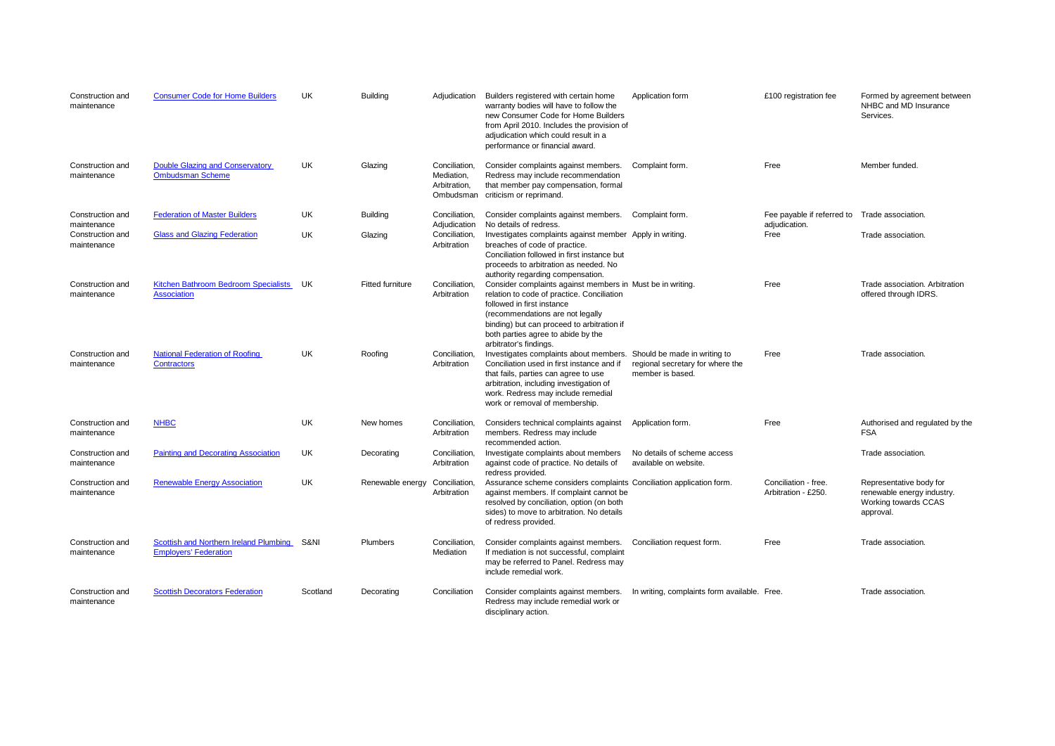| Construction and<br>maintenance | <b>Consumer Code for Home Builders</b>                                 | UK        | <b>Building</b>         | Adjudication                                             | Builders registered with certain home<br>warranty bodies will have to follow the<br>new Consumer Code for Home Builders<br>from April 2010. Includes the provision of<br>adjudication which could result in a<br>performance or financial award.                                         | Application form                                                                     | £100 registration fee                       | Formed by agreement between<br>NHBC and MD Insurance<br>Services.                          |
|---------------------------------|------------------------------------------------------------------------|-----------|-------------------------|----------------------------------------------------------|------------------------------------------------------------------------------------------------------------------------------------------------------------------------------------------------------------------------------------------------------------------------------------------|--------------------------------------------------------------------------------------|---------------------------------------------|--------------------------------------------------------------------------------------------|
| Construction and<br>maintenance | Double Glazing and Conservatory<br><b>Ombudsman Scheme</b>             | UK        | Glazing                 | Conciliation,<br>Mediation,<br>Arbitration,<br>Ombudsman | Consider complaints against members.<br>Redress may include recommendation<br>that member pay compensation, formal<br>criticism or reprimand.                                                                                                                                            | Complaint form.                                                                      | Free                                        | Member funded.                                                                             |
| Construction and<br>maintenance | <b>Federation of Master Builders</b>                                   | UK        | <b>Building</b>         | Conciliation,<br>Adjudication                            | Consider complaints against members.<br>No details of redress.                                                                                                                                                                                                                           | Complaint form.                                                                      | Fee payable if referred to<br>adjudication. | Trade association.                                                                         |
| Construction and<br>maintenance | <b>Glass and Glazing Federation</b>                                    | UK        | Glazing                 | Conciliation,<br>Arbitration                             | Investigates complaints against member Apply in writing.<br>breaches of code of practice.<br>Conciliation followed in first instance but<br>proceeds to arbitration as needed. No<br>authority regarding compensation.                                                                   |                                                                                      | Free                                        | Trade association.                                                                         |
| Construction and<br>maintenance | Kitchen Bathroom Bedroom Specialists<br><b>Association</b>             | UK        | <b>Fitted furniture</b> | Conciliation.<br>Arbitration                             | Consider complaints against members in Must be in writing.<br>relation to code of practice. Conciliation<br>followed in first instance<br>(recommendations are not legally<br>binding) but can proceed to arbitration if<br>both parties agree to abide by the<br>arbitrator's findings. |                                                                                      | Free                                        | Trade association. Arbitration<br>offered through IDRS.                                    |
| Construction and<br>maintenance | <b>National Federation of Roofing</b><br><b>Contractors</b>            | UK        | Roofing                 | Conciliation,<br>Arbitration                             | Investigates complaints about members.<br>Conciliation used in first instance and if<br>that fails, parties can agree to use<br>arbitration, including investigation of<br>work. Redress may include remedial<br>work or removal of membership.                                          | Should be made in writing to<br>regional secretary for where the<br>member is based. | Free                                        | Trade association.                                                                         |
| Construction and<br>maintenance | <b>NHBC</b>                                                            | UK        | New homes               | Conciliation.<br>Arbitration                             | Considers technical complaints against<br>members. Redress may include<br>recommended action.                                                                                                                                                                                            | Application form.                                                                    | Free                                        | Authorised and regulated by the<br><b>FSA</b>                                              |
| Construction and<br>maintenance | <b>Painting and Decorating Association</b>                             | <b>UK</b> | Decorating              | Conciliation,<br>Arbitration                             | Investigate complaints about members<br>against code of practice. No details of<br>redress provided.                                                                                                                                                                                     | No details of scheme access<br>available on website.                                 |                                             | Trade association.                                                                         |
| Construction and<br>maintenance | <b>Renewable Energy Association</b>                                    | UK        | Renewable energy        | Conciliation,<br>Arbitration                             | Assurance scheme considers complaints Conciliation application form.<br>against members. If complaint cannot be<br>resolved by conciliation, option (on both<br>sides) to move to arbitration. No details<br>of redress provided.                                                        |                                                                                      | Conciliation - free.<br>Arbitration - £250. | Representative body for<br>renewable energy industry.<br>Working towards CCAS<br>approval. |
| Construction and<br>maintenance | Scottish and Northern Ireland Plumbing<br><b>Employers' Federation</b> | S&NI      | Plumbers                | Conciliation,<br>Mediation                               | Consider complaints against members.<br>If mediation is not successful, complaint<br>may be referred to Panel. Redress may<br>include remedial work.                                                                                                                                     | Conciliation request form.                                                           | Free                                        | Trade association.                                                                         |
| Construction and<br>maintenance | <b>Scottish Decorators Federation</b>                                  | Scotland  | Decorating              | Conciliation                                             | Consider complaints against members.<br>Redress may include remedial work or<br>disciplinary action.                                                                                                                                                                                     | In writing, complaints form available. Free.                                         |                                             | Trade association.                                                                         |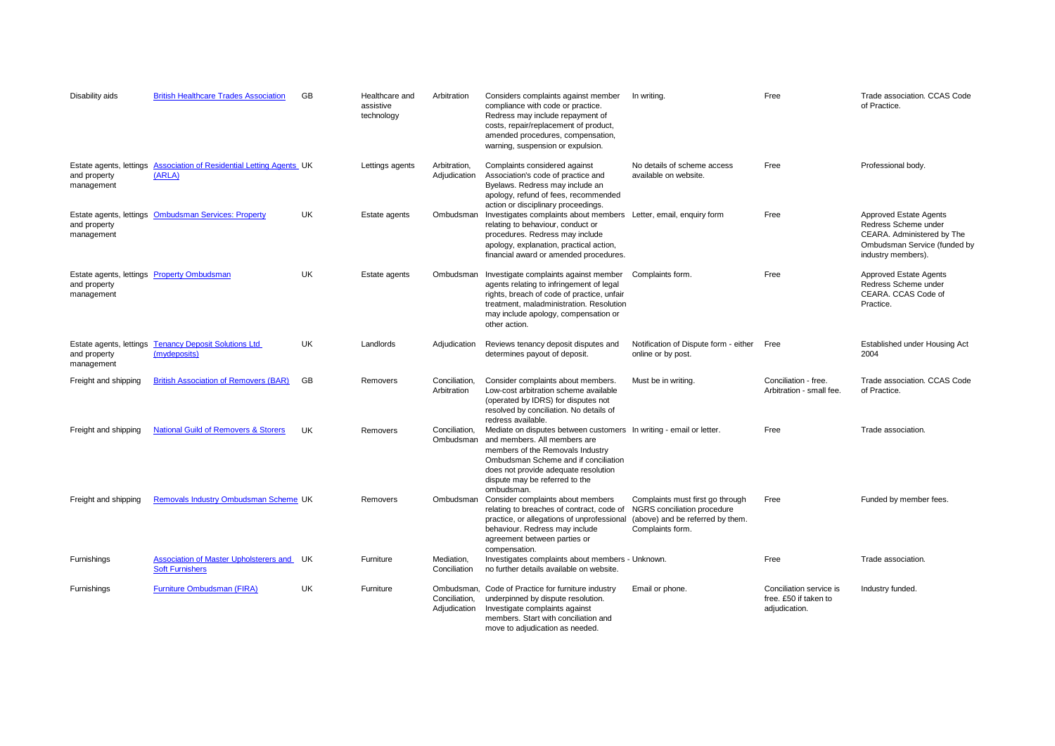| Disability aids                                       | <b>British Healthcare Trades Association</b>                     | <b>GB</b> | Healthcare and<br>assistive<br>technology | Arbitration                                 | Considers complaints against member<br>compliance with code or practice.<br>Redress may include repayment of<br>costs, repair/replacement of product,<br>amended procedures, compensation,<br>warning, suspension or expulsion.                                         | In writing.                                                                                                             | Free                                                              | Trade association. CCAS Code<br>of Practice.                                                                                       |
|-------------------------------------------------------|------------------------------------------------------------------|-----------|-------------------------------------------|---------------------------------------------|-------------------------------------------------------------------------------------------------------------------------------------------------------------------------------------------------------------------------------------------------------------------------|-------------------------------------------------------------------------------------------------------------------------|-------------------------------------------------------------------|------------------------------------------------------------------------------------------------------------------------------------|
| Estate agents, lettings<br>and property<br>management | Association of Residential Letting Agents UK<br>(ARLA)           |           | Lettings agents                           | Arbitration,<br>Adjudication                | Complaints considered against<br>Association's code of practice and<br>Byelaws. Redress may include an<br>apology, refund of fees, recommended<br>action or disciplinary proceedings.                                                                                   | No details of scheme access<br>available on website.                                                                    | Free                                                              | Professional body.                                                                                                                 |
| and property<br>management                            | Estate agents, lettings Ombudsman Services: Property             | UK        | Estate agents                             | Ombudsman                                   | Investigates complaints about members Letter, email, enquiry form<br>relating to behaviour, conduct or<br>procedures. Redress may include<br>apology, explanation, practical action,<br>financial award or amended procedures.                                          |                                                                                                                         | Free                                                              | Approved Estate Agents<br>Redress Scheme under<br>CEARA. Administered by The<br>Ombudsman Service (funded by<br>industry members). |
| and property<br>management                            | Estate agents, lettings Property Ombudsman                       | UK        | Estate agents                             | Ombudsman                                   | Investigate complaints against member<br>agents relating to infringement of legal<br>rights, breach of code of practice, unfair<br>treatment, maladministration. Resolution<br>may include apology, compensation or<br>other action.                                    | Complaints form.                                                                                                        | Free                                                              | Approved Estate Agents<br>Redress Scheme under<br>CEARA, CCAS Code of<br>Practice.                                                 |
| Estate agents, lettings<br>and property<br>management | <b>Tenancy Deposit Solutions Ltd</b><br>(mydeposits)             | <b>UK</b> | Landlords                                 | Adjudication                                | Reviews tenancy deposit disputes and<br>determines payout of deposit.                                                                                                                                                                                                   | Notification of Dispute form - either<br>online or by post.                                                             | Free                                                              | Established under Housing Act<br>2004                                                                                              |
| Freight and shipping                                  | <b>British Association of Removers (BAR)</b>                     | GB        | Removers                                  | Conciliation,<br>Arbitration                | Consider complaints about members.<br>Low-cost arbitration scheme available<br>(operated by IDRS) for disputes not<br>resolved by conciliation. No details of<br>redress available.                                                                                     | Must be in writing.                                                                                                     | Conciliation - free.<br>Arbitration - small fee.                  | Trade association. CCAS Code<br>of Practice.                                                                                       |
| Freight and shipping                                  | <b>National Guild of Removers &amp; Storers</b>                  | <b>UK</b> | Removers                                  | Conciliation,<br>Ombudsman                  | Mediate on disputes between customers In writing - email or letter.<br>and members. All members are<br>members of the Removals Industry<br>Ombudsman Scheme and if conciliation<br>does not provide adequate resolution<br>dispute may be referred to the<br>ombudsman. |                                                                                                                         | Free                                                              | Trade association.                                                                                                                 |
| Freight and shipping                                  | Removals Industry Ombudsman Scheme UK                            |           | Removers                                  | Ombudsman                                   | Consider complaints about members<br>relating to breaches of contract, code of<br>practice, or allegations of unprofessional<br>behaviour. Redress may include<br>agreement between parties or<br>compensation.                                                         | Complaints must first go through<br>NGRS conciliation procedure<br>(above) and be referred by them.<br>Complaints form. | Free                                                              | Funded by member fees.                                                                                                             |
| Furnishings                                           | Association of Master Upholsterers and<br><b>Soft Furnishers</b> | UK        | Furniture                                 | Mediation,<br>Conciliation                  | Investigates complaints about members - Unknown.<br>no further details available on website.                                                                                                                                                                            |                                                                                                                         | Free                                                              | Trade association.                                                                                                                 |
| Furnishings                                           | Furniture Ombudsman (FIRA)                                       | <b>UK</b> | Furniture                                 | Ombudsman.<br>Conciliation,<br>Adjudication | Code of Practice for furniture industry<br>underpinned by dispute resolution.<br>Investigate complaints against<br>members. Start with conciliation and<br>move to adjudication as needed.                                                                              | Email or phone.                                                                                                         | Conciliation service is<br>free. £50 if taken to<br>adjudication. | Industry funded.                                                                                                                   |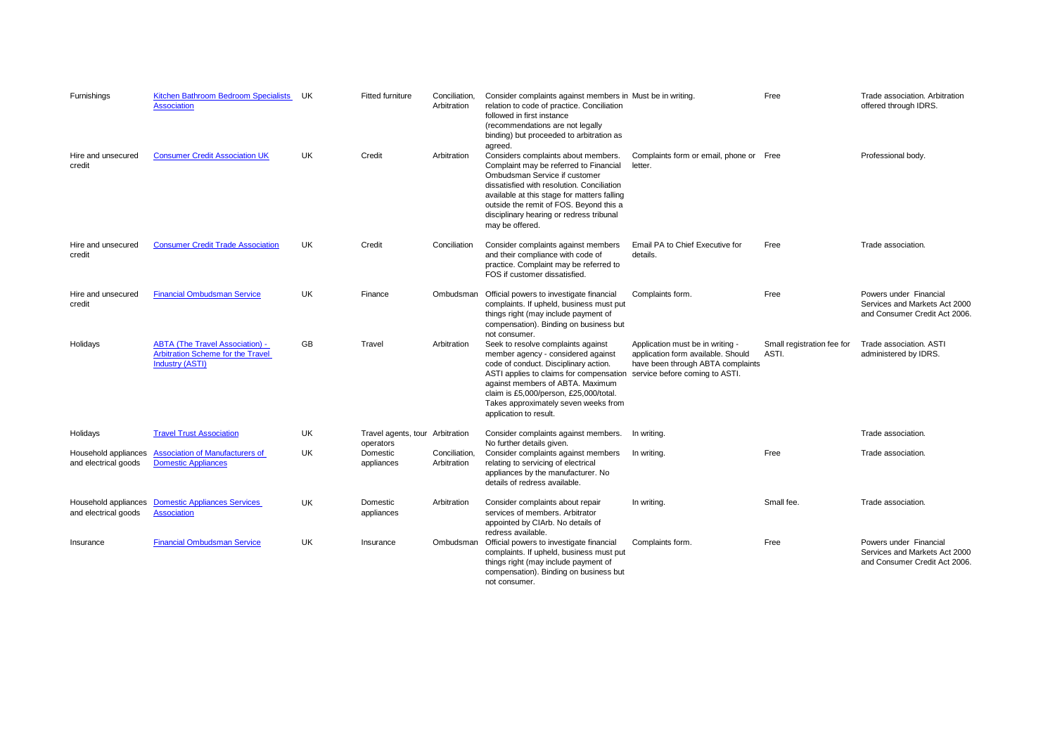| Furnishings                                  | <b>Kitchen Bathroom Bedroom Specialists</b><br><b>Association</b>                                            | UK        | Fitted furniture                             | Conciliation,<br>Arbitration | Consider complaints against members in Must be in writing.<br>relation to code of practice. Conciliation<br>followed in first instance<br>(recommendations are not legally<br>binding) but proceeded to arbitration as<br>agreed.                                                                                     |                                                                                                                                               | Free                                | Trade association. Arbitration<br>offered through IDRS.                                  |
|----------------------------------------------|--------------------------------------------------------------------------------------------------------------|-----------|----------------------------------------------|------------------------------|-----------------------------------------------------------------------------------------------------------------------------------------------------------------------------------------------------------------------------------------------------------------------------------------------------------------------|-----------------------------------------------------------------------------------------------------------------------------------------------|-------------------------------------|------------------------------------------------------------------------------------------|
| Hire and unsecured<br>credit                 | <b>Consumer Credit Association UK</b>                                                                        | UK        | Credit                                       | Arbitration                  | Considers complaints about members.<br>Complaint may be referred to Financial<br>Ombudsman Service if customer<br>dissatisfied with resolution. Conciliation<br>available at this stage for matters falling<br>outside the remit of FOS. Beyond this a<br>disciplinary hearing or redress tribunal<br>may be offered. | Complaints form or email, phone or Free<br>letter.                                                                                            |                                     | Professional body.                                                                       |
| Hire and unsecured<br>credit                 | <b>Consumer Credit Trade Association</b>                                                                     | <b>UK</b> | Credit                                       | Conciliation                 | Consider complaints against members<br>and their compliance with code of<br>practice. Complaint may be referred to<br>FOS if customer dissatisfied.                                                                                                                                                                   | Email PA to Chief Executive for<br>details.                                                                                                   | Free                                | Trade association.                                                                       |
| Hire and unsecured<br>credit                 | <b>Financial Ombudsman Service</b>                                                                           | <b>UK</b> | Finance                                      | Ombudsman                    | Official powers to investigate financial<br>complaints. If upheld, business must put<br>things right (may include payment of<br>compensation). Binding on business but<br>not consumer.                                                                                                                               | Complaints form.                                                                                                                              | Free                                | Powers under Financial<br>Services and Markets Act 2000<br>and Consumer Credit Act 2006. |
| Holidays                                     | <b>ABTA (The Travel Association) -</b><br><b>Arbitration Scheme for the Travel</b><br><b>Industry (ASTI)</b> | <b>GB</b> | Travel                                       | Arbitration                  | Seek to resolve complaints against<br>member agency - considered against<br>code of conduct. Disciplinary action.<br>ASTI applies to claims for compensation<br>against members of ABTA. Maximum<br>claim is £5,000/person, £25,000/total.<br>Takes approximately seven weeks from<br>application to result.          | Application must be in writing -<br>application form available. Should<br>have been through ABTA complaints<br>service before coming to ASTI. | Small registration fee for<br>ASTI. | Trade association. ASTI<br>administered by IDRS.                                         |
| Holidays                                     | <b>Travel Trust Association</b>                                                                              | UK.       | Travel agents, tour Arbitration<br>operators |                              | Consider complaints against members.<br>No further details given.                                                                                                                                                                                                                                                     | In writina.                                                                                                                                   |                                     | Trade association.                                                                       |
| Household appliances<br>and electrical goods | <b>Association of Manufacturers of</b><br><b>Domestic Appliances</b>                                         | <b>UK</b> | Domestic<br>appliances                       | Conciliation,<br>Arbitration | Consider complaints against members<br>relating to servicing of electrical<br>appliances by the manufacturer. No<br>details of redress available.                                                                                                                                                                     | In writing.                                                                                                                                   | Free                                | Trade association.                                                                       |
| Household appliances<br>and electrical goods | <b>Domestic Appliances Services</b><br><b>Association</b>                                                    | <b>UK</b> | Domestic<br>appliances                       | Arbitration                  | Consider complaints about repair<br>services of members. Arbitrator<br>appointed by CIArb. No details of<br>redress available.                                                                                                                                                                                        | In writing.                                                                                                                                   | Small fee.                          | Trade association.                                                                       |
| Insurance                                    | <b>Financial Ombudsman Service</b>                                                                           | UK        | Insurance                                    | Ombudsman                    | Official powers to investigate financial<br>complaints. If upheld, business must put<br>things right (may include payment of<br>compensation). Binding on business but<br>not consumer.                                                                                                                               | Complaints form.                                                                                                                              | Free                                | Powers under Financial<br>Services and Markets Act 2000<br>and Consumer Credit Act 2006. |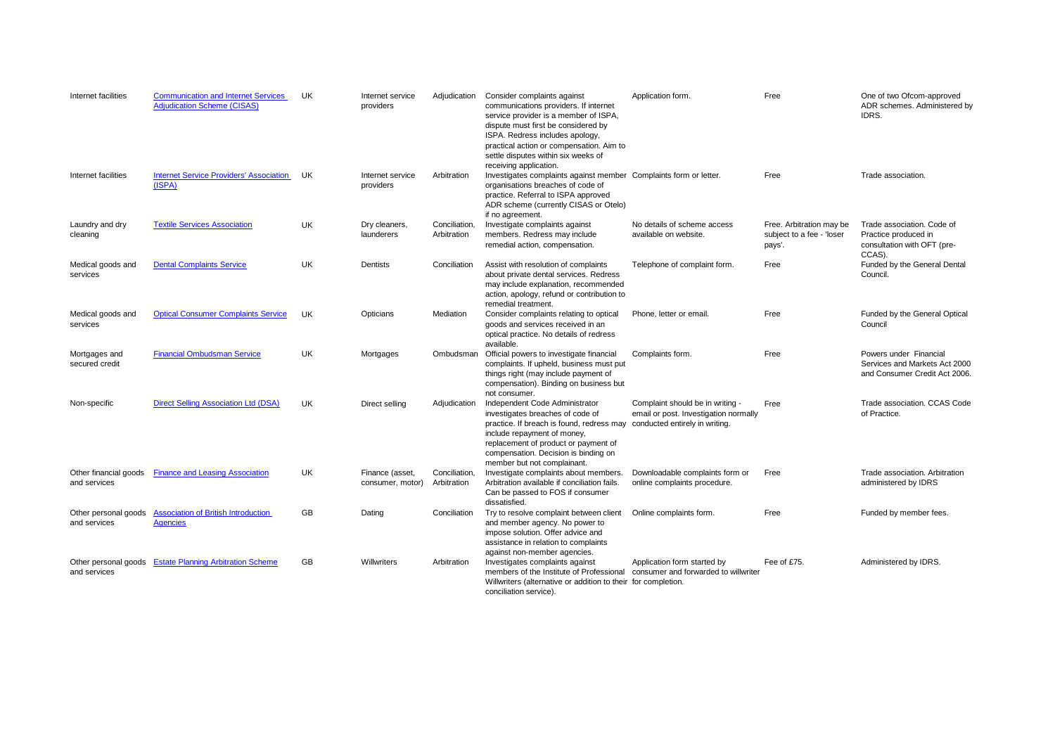| Internet facilities                   | <b>Communication and Internet Services</b><br><b>Adjudication Scheme (CISAS)</b> | UK        | Internet service<br>providers       | Adjudication                 | Consider complaints against<br>communications providers. If internet<br>service provider is a member of ISPA,<br>dispute must first be considered by<br>ISPA. Redress includes apology,<br>practical action or compensation. Aim to<br>settle disputes within six weeks of<br>receiving application. | Application form.                                                                                           | Free                                                            | One of two Ofcom-approved<br>ADR schemes. Administered by<br>IDRS.                          |
|---------------------------------------|----------------------------------------------------------------------------------|-----------|-------------------------------------|------------------------------|------------------------------------------------------------------------------------------------------------------------------------------------------------------------------------------------------------------------------------------------------------------------------------------------------|-------------------------------------------------------------------------------------------------------------|-----------------------------------------------------------------|---------------------------------------------------------------------------------------------|
| Internet facilities                   | <b>Internet Service Providers' Association</b><br>(ISPA)                         | UK        | Internet service<br>providers       | Arbitration                  | Investigates complaints against member Complaints form or letter.<br>organisations breaches of code of<br>practice. Referral to ISPA approved<br>ADR scheme (currently CISAS or Otelo)<br>if no agreement.                                                                                           |                                                                                                             | Free                                                            | Trade association.                                                                          |
| Laundry and dry<br>cleaning           | <b>Textile Services Association</b>                                              | UK        | Dry cleaners,<br>launderers         | Conciliation.<br>Arbitration | Investigate complaints against<br>members. Redress may include<br>remedial action, compensation.                                                                                                                                                                                                     | No details of scheme access<br>available on website.                                                        | Free. Arbitration may be<br>subject to a fee - 'loser<br>pays'. | Trade association. Code of<br>Practice produced in<br>consultation with OFT (pre-<br>CCAS). |
| Medical goods and<br>services         | <b>Dental Complaints Service</b>                                                 | <b>UK</b> | Dentists                            | Conciliation                 | Assist with resolution of complaints<br>about private dental services. Redress<br>may include explanation, recommended<br>action, apology, refund or contribution to<br>remedial treatment.                                                                                                          | Telephone of complaint form.                                                                                | Free                                                            | Funded by the General Dental<br>Council.                                                    |
| Medical goods and<br>services         | <b>Optical Consumer Complaints Service</b>                                       | UK        | Opticians                           | Mediation                    | Consider complaints relating to optical<br>goods and services received in an<br>optical practice. No details of redress<br>available.                                                                                                                                                                | Phone, letter or email.                                                                                     | Free                                                            | Funded by the General Optical<br>Council                                                    |
| Mortgages and<br>secured credit       | <b>Financial Ombudsman Service</b>                                               | UK        | Mortgages                           | Ombudsman                    | Official powers to investigate financial<br>complaints. If upheld, business must put<br>things right (may include payment of<br>compensation). Binding on business but<br>not consumer.                                                                                                              | Complaints form.                                                                                            | Free                                                            | Powers under Financial<br>Services and Markets Act 2000<br>and Consumer Credit Act 2006.    |
| Non-specific                          | <b>Direct Selling Association Ltd (DSA)</b>                                      | <b>UK</b> | Direct selling                      | Adjudication                 | Independent Code Administrator<br>investigates breaches of code of<br>practice. If breach is found, redress may<br>include repayment of money,<br>replacement of product or payment of<br>compensation. Decision is binding on<br>member but not complainant.                                        | Complaint should be in writing -<br>email or post. Investigation normally<br>conducted entirely in writing. | Free                                                            | Trade association, CCAS Code<br>of Practice.                                                |
| Other financial goods<br>and services | <b>Finance and Leasing Association</b>                                           | UK        | Finance (asset,<br>consumer, motor) | Conciliation,<br>Arbitration | Investigate complaints about members.<br>Arbitration available if conciliation fails.<br>Can be passed to FOS if consumer<br>dissatisfied.                                                                                                                                                           | Downloadable complaints form or<br>online complaints procedure.                                             | Free                                                            | Trade association. Arbitration<br>administered by IDRS                                      |
| Other personal goods<br>and services  | <b>Association of British Introduction</b><br><b>Agencies</b>                    | <b>GB</b> | Dating                              | Conciliation                 | Try to resolve complaint between client<br>and member agency. No power to<br>impose solution. Offer advice and<br>assistance in relation to complaints<br>against non-member agencies.                                                                                                               | Online complaints form.                                                                                     | Free                                                            | Funded by member fees.                                                                      |
| and services                          | Other personal goods Estate Planning Arbitration Scheme                          | GB        | <b>Willwriters</b>                  | Arbitration                  | Investigates complaints against<br>members of the Institute of Professional<br>Willwriters (alternative or addition to their for completion.<br>conciliation service).                                                                                                                               | Application form started by<br>consumer and forwarded to willwriter                                         | Fee of £75.                                                     | Administered by IDRS.                                                                       |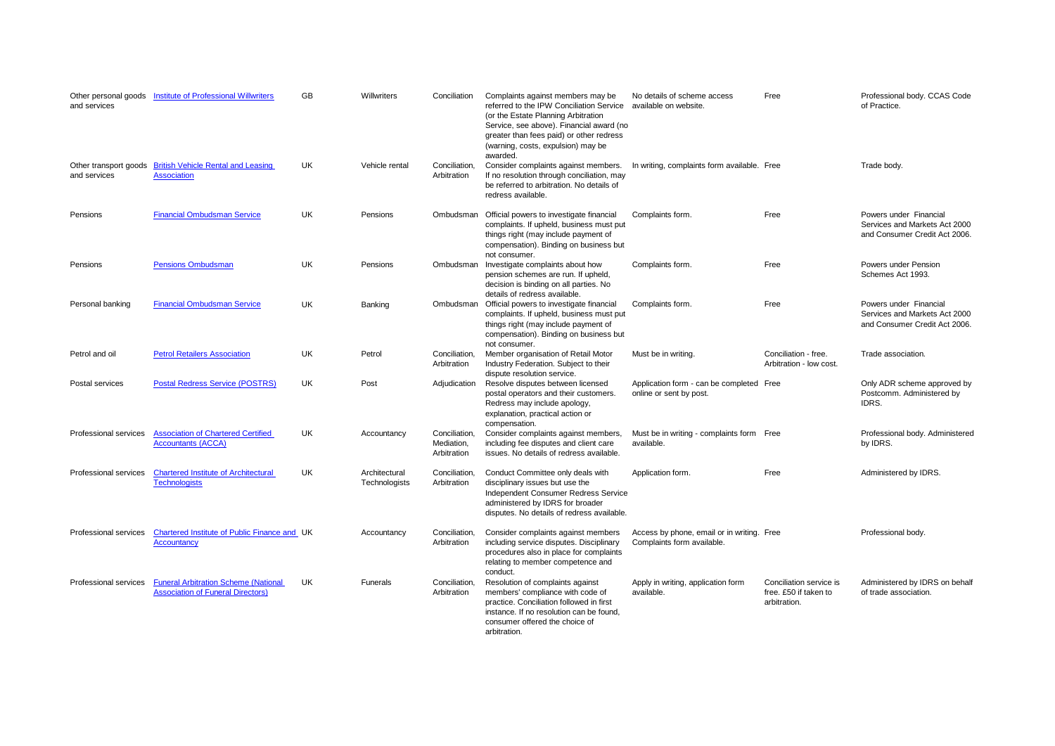| and services                          | Other personal goods  Institute of Professional Willwriters                             | <b>GB</b> | Willwriters                    | Conciliation                               | Complaints against members may be<br>referred to the IPW Conciliation Service<br>(or the Estate Planning Arbitration<br>Service, see above). Financial award (no<br>greater than fees paid) or other redress<br>(warning, costs, expulsion) may be<br>awarded. | No details of scheme access<br>available on website.                     | Free                                                             | Professional body. CCAS Code<br>of Practice.                                             |
|---------------------------------------|-----------------------------------------------------------------------------------------|-----------|--------------------------------|--------------------------------------------|----------------------------------------------------------------------------------------------------------------------------------------------------------------------------------------------------------------------------------------------------------------|--------------------------------------------------------------------------|------------------------------------------------------------------|------------------------------------------------------------------------------------------|
| Other transport goods<br>and services | <b>British Vehicle Rental and Leasing</b><br><b>Association</b>                         | <b>UK</b> | Vehicle rental                 | Conciliation,<br>Arbitration               | Consider complaints against members.<br>If no resolution through conciliation, may<br>be referred to arbitration. No details of<br>redress available.                                                                                                          | In writing, complaints form available. Free                              |                                                                  | Trade body.                                                                              |
| Pensions                              | <b>Financial Ombudsman Service</b>                                                      | UK.       | Pensions                       | Ombudsman                                  | Official powers to investigate financial<br>complaints. If upheld, business must put<br>things right (may include payment of<br>compensation). Binding on business but<br>not consumer.                                                                        | Complaints form.                                                         | Free                                                             | Powers under Financial<br>Services and Markets Act 2000<br>and Consumer Credit Act 2006. |
| Pensions                              | <b>Pensions Ombudsman</b>                                                               | UK        | Pensions                       | Ombudsman                                  | Investigate complaints about how<br>pension schemes are run. If upheld,<br>decision is binding on all parties. No<br>details of redress available.                                                                                                             | Complaints form.                                                         | Free                                                             | Powers under Pension<br>Schemes Act 1993.                                                |
| Personal banking                      | <b>Financial Ombudsman Service</b>                                                      | UK        | Banking                        | Ombudsman                                  | Official powers to investigate financial<br>complaints. If upheld, business must put<br>things right (may include payment of<br>compensation). Binding on business but<br>not consumer.                                                                        | Complaints form.                                                         | Free                                                             | Powers under Financial<br>Services and Markets Act 2000<br>and Consumer Credit Act 2006. |
| Petrol and oil                        | <b>Petrol Retailers Association</b>                                                     | UK.       | Petrol                         | Conciliation,<br>Arbitration               | Member organisation of Retail Motor<br>Industry Federation. Subject to their<br>dispute resolution service.                                                                                                                                                    | Must be in writing.                                                      | Conciliation - free.<br>Arbitration - low cost.                  | Trade association.                                                                       |
| Postal services                       | <b>Postal Redress Service (POSTRS)</b>                                                  | UK.       | Post                           | Adjudication                               | Resolve disputes between licensed<br>postal operators and their customers.<br>Redress may include apology,<br>explanation, practical action or<br>compensation.                                                                                                | Application form - can be completed Free<br>online or sent by post.      |                                                                  | Only ADR scheme approved by<br>Postcomm. Administered by<br>IDRS.                        |
| Professional services                 | <b>Association of Chartered Certified</b><br><b>Accountants (ACCA)</b>                  | UK        | Accountancy                    | Conciliation.<br>Mediation,<br>Arbitration | Consider complaints against members,<br>including fee disputes and client care<br>issues. No details of redress available.                                                                                                                                     | Must be in writing - complaints form Free<br>available.                  |                                                                  | Professional body. Administered<br>by IDRS.                                              |
| Professional services                 | <b>Chartered Institute of Architectural</b><br><b>Technologists</b>                     | UK        | Architectural<br>Technologists | Conciliation,<br>Arbitration               | Conduct Committee only deals with<br>disciplinary issues but use the<br>Independent Consumer Redress Service<br>administered by IDRS for broader<br>disputes. No details of redress available.                                                                 | Application form.                                                        | Free                                                             | Administered by IDRS.                                                                    |
| Professional services                 | Chartered Institute of Public Finance and UK<br><b>Accountancy</b>                      |           | Accountancy                    | Conciliation,<br>Arbitration               | Consider complaints against members<br>including service disputes. Disciplinary<br>procedures also in place for complaints<br>relating to member competence and<br>conduct.                                                                                    | Access by phone, email or in writing. Free<br>Complaints form available. |                                                                  | Professional body.                                                                       |
| Professional services                 | <b>Funeral Arbitration Scheme (National</b><br><b>Association of Funeral Directors)</b> | UK        | Funerals                       | Conciliation,<br>Arbitration               | Resolution of complaints against<br>members' compliance with code of<br>practice. Conciliation followed in first<br>instance. If no resolution can be found,<br>consumer offered the choice of<br>arbitration.                                                 | Apply in writing, application form<br>available.                         | Conciliation service is<br>free. £50 if taken to<br>arbitration. | Administered by IDRS on behalf<br>of trade association.                                  |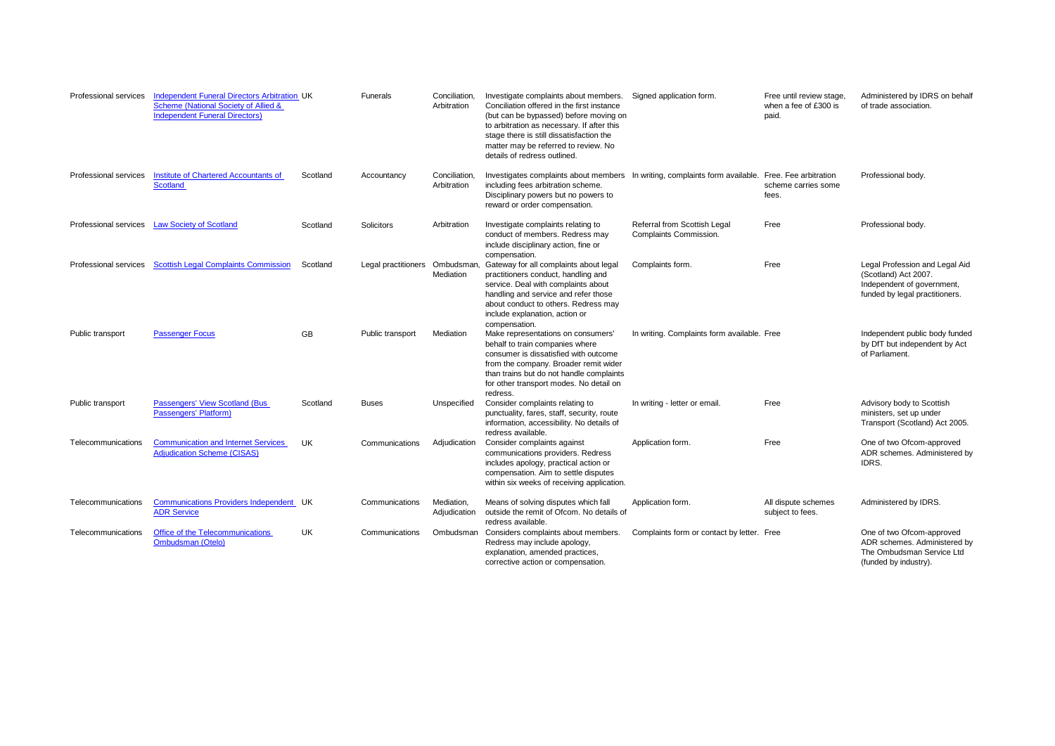| Professional services | <b>Independent Funeral Directors Arbitration UK</b><br>Scheme (National Society of Allied &<br><b>Independent Funeral Directors)</b> |          | Funerals                       | Conciliation,<br>Arbitration | Investigate complaints about members.<br>Conciliation offered in the first instance<br>(but can be bypassed) before moving on<br>to arbitration as necessary. If after this<br>stage there is still dissatisfaction the<br>matter may be referred to review. No<br>details of redress outlined. | Signed application form.                               | Free until review stage.<br>when a fee of £300 is<br>paid. | Administered by IDRS on behalf<br>of trade association.                                                                |
|-----------------------|--------------------------------------------------------------------------------------------------------------------------------------|----------|--------------------------------|------------------------------|-------------------------------------------------------------------------------------------------------------------------------------------------------------------------------------------------------------------------------------------------------------------------------------------------|--------------------------------------------------------|------------------------------------------------------------|------------------------------------------------------------------------------------------------------------------------|
| Professional services | <b>Institute of Chartered Accountants of</b><br><b>Scotland</b>                                                                      | Scotland | Accountancy                    | Conciliation,<br>Arbitration | Investigates complaints about members In writing, complaints form available. Free. Fee arbitration<br>including fees arbitration scheme.<br>Disciplinary powers but no powers to<br>reward or order compensation.                                                                               |                                                        | scheme carries some<br>fees.                               | Professional body.                                                                                                     |
| Professional services | <b>Law Society of Scotland</b>                                                                                                       | Scotland | <b>Solicitors</b>              | Arbitration                  | Investigate complaints relating to<br>conduct of members. Redress may<br>include disciplinary action, fine or<br>compensation.                                                                                                                                                                  | Referral from Scottish Legal<br>Complaints Commission. | Free                                                       | Professional body.                                                                                                     |
| Professional services | <b>Scottish Legal Complaints Commission</b>                                                                                          | Scotland | Legal practitioners Ombudsman, | Mediation                    | Gateway for all complaints about legal<br>practitioners conduct, handling and<br>service. Deal with complaints about<br>handling and service and refer those<br>about conduct to others. Redress may<br>include explanation, action or<br>compensation.                                         | Complaints form.                                       | Free                                                       | Legal Profession and Legal Aid<br>(Scotland) Act 2007.<br>Independent of government,<br>funded by legal practitioners. |
| Public transport      | <b>Passenger Focus</b>                                                                                                               | GB       | Public transport               | Mediation                    | Make representations on consumers'<br>behalf to train companies where<br>consumer is dissatisfied with outcome<br>from the company. Broader remit wider<br>than trains but do not handle complaints<br>for other transport modes. No detail on<br>redress.                                      | In writing. Complaints form available. Free            |                                                            | Independent public body funded<br>by DfT but independent by Act<br>of Parliament.                                      |
| Public transport      | <b>Passengers' View Scotland (Bus</b><br>Passengers' Platform)                                                                       | Scotland | <b>Buses</b>                   | Unspecified                  | Consider complaints relating to<br>punctuality, fares, staff, security, route<br>information, accessibility. No details of<br>redress available.                                                                                                                                                | In writing - letter or email.                          | Free                                                       | Advisory body to Scottish<br>ministers, set up under<br>Transport (Scotland) Act 2005.                                 |
| Telecommunications    | <b>Communication and Internet Services</b><br><b>Adjudication Scheme (CISAS)</b>                                                     | UK.      | Communications                 | Adjudication                 | Consider complaints against<br>communications providers. Redress<br>includes apology, practical action or<br>compensation. Aim to settle disputes<br>within six weeks of receiving application.                                                                                                 | Application form.                                      | Free                                                       | One of two Ofcom-approved<br>ADR schemes. Administered by<br>IDRS.                                                     |
| Telecommunications    | Communications Providers Independent UK<br><b>ADR Service</b>                                                                        |          | Communications                 | Mediation.<br>Adjudication   | Means of solving disputes which fall<br>outside the remit of Ofcom. No details of<br>redress available.                                                                                                                                                                                         | Application form.                                      | All dispute schemes<br>subject to fees.                    | Administered by IDRS.                                                                                                  |
| Telecommunications    | Office of the Telecommunications<br><b>Ombudsman (Otelo)</b>                                                                         | UK       | Communications                 | Ombudsman                    | Considers complaints about members.<br>Redress may include apology,<br>explanation, amended practices,<br>corrective action or compensation.                                                                                                                                                    | Complaints form or contact by letter. Free             |                                                            | One of two Ofcom-approved<br>ADR schemes. Administered by<br>The Ombudsman Service Ltd<br>(funded by industry).        |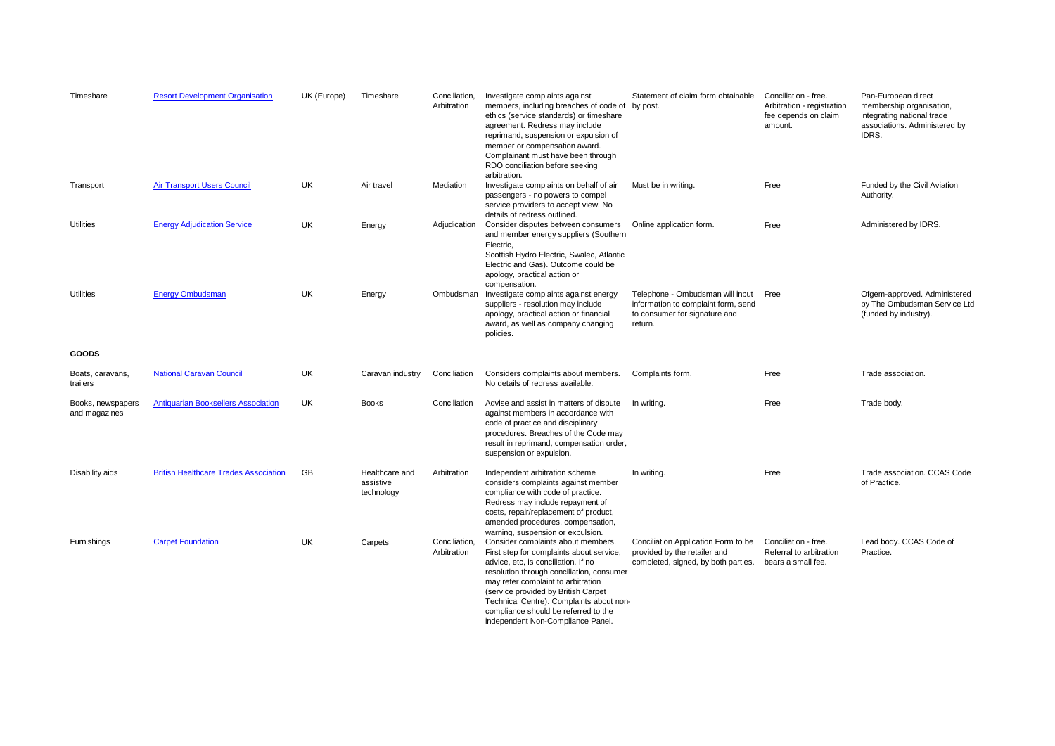| Timeshare                          | <b>Resort Development Organisation</b>       | UK (Europe) | Timeshare                                 | Conciliation,<br>Arbitration | Investigate complaints against<br>members, including breaches of code of<br>ethics (service standards) or timeshare<br>agreement. Redress may include<br>reprimand, suspension or expulsion of<br>member or compensation award.<br>Complainant must have been through<br>RDO conciliation before seeking<br>arbitration.                                                 | Statement of claim form obtainable<br>by post.                                                                      | Conciliation - free.<br>Arbitration - registration<br>fee depends on claim<br>amount. | Pan-European direct<br>membership organisation,<br>integrating national trade<br>associations. Administered by<br>IDRS. |
|------------------------------------|----------------------------------------------|-------------|-------------------------------------------|------------------------------|--------------------------------------------------------------------------------------------------------------------------------------------------------------------------------------------------------------------------------------------------------------------------------------------------------------------------------------------------------------------------|---------------------------------------------------------------------------------------------------------------------|---------------------------------------------------------------------------------------|-------------------------------------------------------------------------------------------------------------------------|
| Transport                          | <b>Air Transport Users Council</b>           | UK          | Air travel                                | Mediation                    | Investigate complaints on behalf of air<br>passengers - no powers to compel<br>service providers to accept view. No<br>details of redress outlined.                                                                                                                                                                                                                      | Must be in writing.                                                                                                 | Free                                                                                  | Funded by the Civil Aviation<br>Authority.                                                                              |
| Utilities                          | <b>Energy Adjudication Service</b>           | UK          | Energy                                    | Adjudication                 | Consider disputes between consumers<br>and member energy suppliers (Southern<br>Electric,<br>Scottish Hydro Electric, Swalec, Atlantic<br>Electric and Gas). Outcome could be<br>apology, practical action or<br>compensation.                                                                                                                                           | Online application form.                                                                                            | Free                                                                                  | Administered by IDRS.                                                                                                   |
| <b>Utilities</b>                   | <b>Energy Ombudsman</b>                      | <b>UK</b>   | Energy                                    | Ombudsman                    | Investigate complaints against energy<br>suppliers - resolution may include<br>apology, practical action or financial<br>award, as well as company changing<br>policies.                                                                                                                                                                                                 | Telephone - Ombudsman will input<br>information to complaint form, send<br>to consumer for signature and<br>return. | Free                                                                                  | Ofgem-approved. Administered<br>by The Ombudsman Service Ltd<br>(funded by industry).                                   |
| <b>GOODS</b>                       |                                              |             |                                           |                              |                                                                                                                                                                                                                                                                                                                                                                          |                                                                                                                     |                                                                                       |                                                                                                                         |
| Boats, caravans,<br>trailers       | <b>National Caravan Council</b>              | UK          | Caravan industry                          | Conciliation                 | Considers complaints about members.<br>No details of redress available.                                                                                                                                                                                                                                                                                                  | Complaints form.                                                                                                    | Free                                                                                  | Trade association.                                                                                                      |
| Books, newspapers<br>and magazines | <b>Antiquarian Booksellers Association</b>   | UK          | <b>Books</b>                              | Conciliation                 | Advise and assist in matters of dispute<br>against members in accordance with<br>code of practice and disciplinary<br>procedures. Breaches of the Code may<br>result in reprimand, compensation order,<br>suspension or expulsion.                                                                                                                                       | In writing.                                                                                                         | Free                                                                                  | Trade body.                                                                                                             |
| Disability aids                    | <b>British Healthcare Trades Association</b> | GB          | Healthcare and<br>assistive<br>technology | Arbitration                  | Independent arbitration scheme<br>considers complaints against member<br>compliance with code of practice.<br>Redress may include repayment of<br>costs, repair/replacement of product,<br>amended procedures, compensation,<br>warning, suspension or expulsion.                                                                                                        | In writing.                                                                                                         | Free                                                                                  | Trade association. CCAS Code<br>of Practice.                                                                            |
| Furnishings                        | <b>Carpet Foundation</b>                     | <b>UK</b>   | Carpets                                   | Conciliation,<br>Arbitration | Consider complaints about members.<br>First step for complaints about service,<br>advice, etc, is conciliation. If no<br>resolution through conciliation, consumer<br>may refer complaint to arbitration<br>(service provided by British Carpet<br>Technical Centre). Complaints about non-<br>compliance should be referred to the<br>independent Non-Compliance Panel. | Conciliation Application Form to be<br>provided by the retailer and<br>completed, signed, by both parties.          | Conciliation - free.<br>Referral to arbitration<br>bears a small fee.                 | Lead body. CCAS Code of<br>Practice.                                                                                    |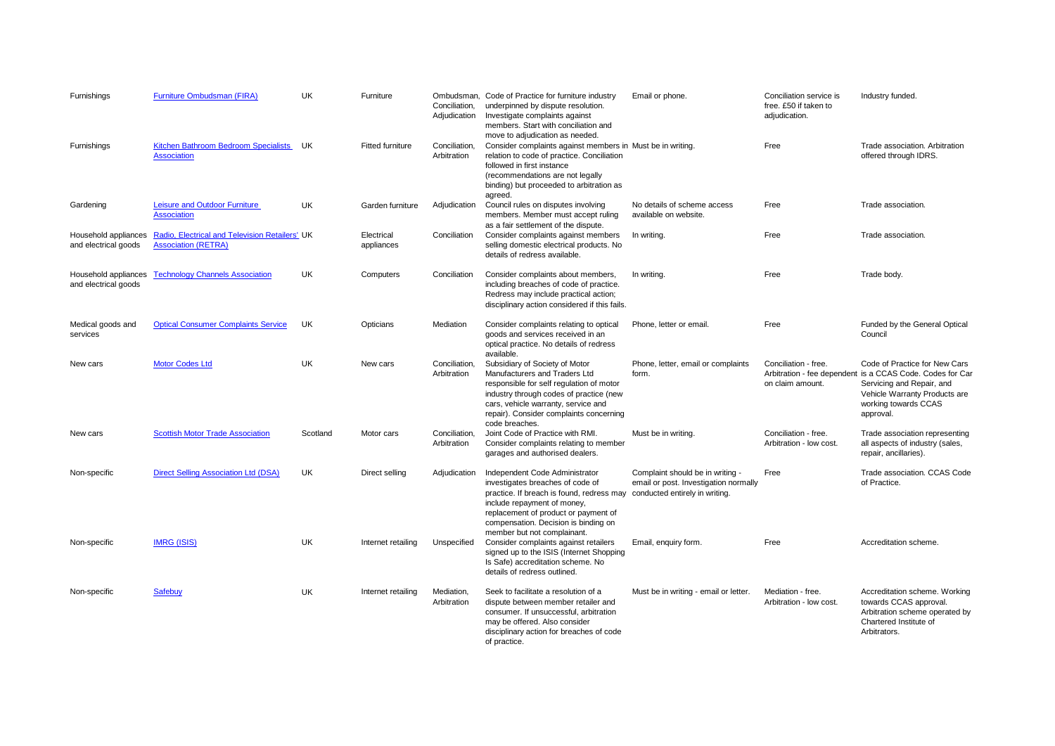| Furnishings                                  | Furniture Ombudsman (FIRA)                                                   | <b>UK</b> | Furniture                | Ombudsman.<br>Conciliation,<br>Adjudication | Code of Practice for furniture industry<br>underpinned by dispute resolution.<br>Investigate complaints against<br>members. Start with conciliation and<br>move to adjudication as needed.                                                                    | Email or phone.                                                                                             | Conciliation service is<br>free. £50 if taken to<br>adjudication. | Industry funded.                                                                                                                                                                              |
|----------------------------------------------|------------------------------------------------------------------------------|-----------|--------------------------|---------------------------------------------|---------------------------------------------------------------------------------------------------------------------------------------------------------------------------------------------------------------------------------------------------------------|-------------------------------------------------------------------------------------------------------------|-------------------------------------------------------------------|-----------------------------------------------------------------------------------------------------------------------------------------------------------------------------------------------|
| Furnishings                                  | Kitchen Bathroom Bedroom Specialists<br><b>Association</b>                   | UK        | Fitted furniture         | Conciliation,<br>Arbitration                | Consider complaints against members in Must be in writing.<br>relation to code of practice. Conciliation<br>followed in first instance<br>(recommendations are not legally<br>binding) but proceeded to arbitration as<br>agreed.                             |                                                                                                             | Free                                                              | Trade association. Arbitration<br>offered through IDRS.                                                                                                                                       |
| Gardening                                    | Leisure and Outdoor Furniture<br><b>Association</b>                          | UK        | Garden furniture         | Adjudication                                | Council rules on disputes involving<br>members. Member must accept ruling<br>as a fair settlement of the dispute.                                                                                                                                             | No details of scheme access<br>available on website.                                                        | Free                                                              | Trade association.                                                                                                                                                                            |
| Household appliances<br>and electrical goods | Radio, Electrical and Television Retailers' UK<br><b>Association (RETRA)</b> |           | Electrical<br>appliances | Conciliation                                | Consider complaints against members<br>selling domestic electrical products. No<br>details of redress available.                                                                                                                                              | In writing.                                                                                                 | Free                                                              | Trade association.                                                                                                                                                                            |
| Household appliances<br>and electrical goods | <b>Technology Channels Association</b>                                       | <b>UK</b> | Computers                | Conciliation                                | Consider complaints about members,<br>including breaches of code of practice.<br>Redress may include practical action;<br>disciplinary action considered if this fails.                                                                                       | In writing.                                                                                                 | Free                                                              | Trade body.                                                                                                                                                                                   |
| Medical goods and<br>services                | <b>Optical Consumer Complaints Service</b>                                   | <b>UK</b> | Opticians                | Mediation                                   | Consider complaints relating to optical<br>goods and services received in an<br>optical practice. No details of redress<br>available.                                                                                                                         | Phone, letter or email.                                                                                     | Free                                                              | Funded by the General Optical<br>Council                                                                                                                                                      |
| New cars                                     | <b>Motor Codes Ltd</b>                                                       | <b>UK</b> | New cars                 | Conciliation.<br>Arbitration                | Subsidiary of Society of Motor<br>Manufacturers and Traders Ltd<br>responsible for self regulation of motor<br>industry through codes of practice (new<br>cars, vehicle warranty, service and<br>repair). Consider complaints concerning<br>code breaches.    | Phone, letter, email or complaints<br>form.                                                                 | Conciliation - free.<br>on claim amount.                          | Code of Practice for New Cars<br>Arbitration - fee dependent is a CCAS Code. Codes for Car<br>Servicing and Repair, and<br>Vehicle Warranty Products are<br>working towards CCAS<br>approval. |
| New cars                                     | <b>Scottish Motor Trade Association</b>                                      | Scotland  | Motor cars               | Conciliation,<br>Arbitration                | Joint Code of Practice with RMI.<br>Consider complaints relating to member<br>garages and authorised dealers.                                                                                                                                                 | Must be in writing.                                                                                         | Conciliation - free.<br>Arbitration - low cost.                   | Trade association representing<br>all aspects of industry (sales,<br>repair, ancillaries).                                                                                                    |
| Non-specific                                 | <b>Direct Selling Association Ltd (DSA)</b>                                  | UK        | Direct selling           | Adjudication                                | Independent Code Administrator<br>investigates breaches of code of<br>practice. If breach is found, redress may<br>include repayment of money,<br>replacement of product or payment of<br>compensation. Decision is binding on<br>member but not complainant. | Complaint should be in writing -<br>email or post. Investigation normally<br>conducted entirely in writing. | Free                                                              | Trade association. CCAS Code<br>of Practice.                                                                                                                                                  |
| Non-specific                                 | <b>IMRG (ISIS)</b>                                                           | <b>UK</b> | Internet retailing       | Unspecified                                 | Consider complaints against retailers<br>signed up to the ISIS (Internet Shopping<br>Is Safe) accreditation scheme. No<br>details of redress outlined.                                                                                                        | Email, enquiry form.                                                                                        | Free                                                              | Accreditation scheme.                                                                                                                                                                         |
| Non-specific                                 | <b>Safebuy</b>                                                               | UK        | Internet retailing       | Mediation,<br>Arbitration                   | Seek to facilitate a resolution of a<br>dispute between member retailer and<br>consumer. If unsuccessful, arbitration<br>may be offered. Also consider<br>disciplinary action for breaches of code<br>of practice.                                            | Must be in writing - email or letter.                                                                       | Mediation - free.<br>Arbitration - low cost.                      | Accreditation scheme. Working<br>towards CCAS approval.<br>Arbitration scheme operated by<br>Chartered Institute of<br>Arbitrators.                                                           |